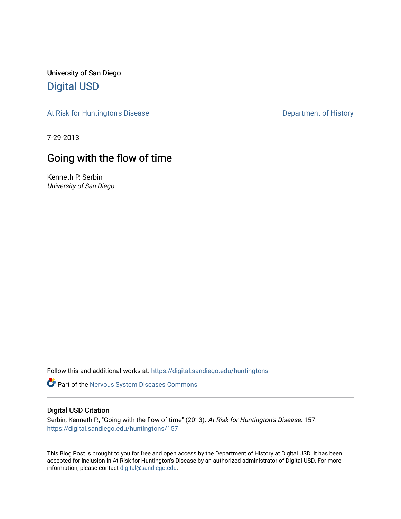University of San Diego [Digital USD](https://digital.sandiego.edu/)

[At Risk for Huntington's Disease](https://digital.sandiego.edu/huntingtons) **Department of History** Department of History

7-29-2013

# Going with the flow of time

Kenneth P. Serbin University of San Diego

Follow this and additional works at: [https://digital.sandiego.edu/huntingtons](https://digital.sandiego.edu/huntingtons?utm_source=digital.sandiego.edu%2Fhuntingtons%2F157&utm_medium=PDF&utm_campaign=PDFCoverPages)

**Part of the [Nervous System Diseases Commons](http://network.bepress.com/hgg/discipline/928?utm_source=digital.sandiego.edu%2Fhuntingtons%2F157&utm_medium=PDF&utm_campaign=PDFCoverPages)** 

# Digital USD Citation

Serbin, Kenneth P., "Going with the flow of time" (2013). At Risk for Huntington's Disease. 157. [https://digital.sandiego.edu/huntingtons/157](https://digital.sandiego.edu/huntingtons/157?utm_source=digital.sandiego.edu%2Fhuntingtons%2F157&utm_medium=PDF&utm_campaign=PDFCoverPages)

This Blog Post is brought to you for free and open access by the Department of History at Digital USD. It has been accepted for inclusion in At Risk for Huntington's Disease by an authorized administrator of Digital USD. For more information, please contact [digital@sandiego.edu.](mailto:digital@sandiego.edu)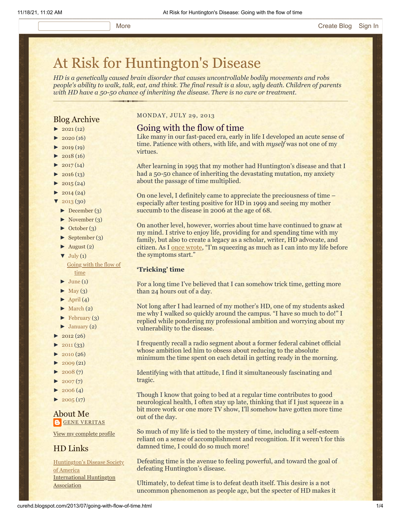# [At Risk for Huntington's Disease](http://curehd.blogspot.com/)

*HD is a genetically caused brain disorder that causes uncontrollable bodily movements and robs people's ability to walk, talk, eat, and think. The final result is a slow, ugly death. Children of parents with HD have a 50-50 chance of inheriting the disease. There is no cure or treatment.*

# Blog Archive

- $\blacktriangleright$  [2021](http://curehd.blogspot.com/2021/)(12)
- $\blacktriangleright$  [2020](http://curehd.blogspot.com/2020/) (16)
- $\blacktriangleright$  [2019](http://curehd.blogspot.com/2019/) (19)
- $\blacktriangleright$  [2018](http://curehd.blogspot.com/2018/) (16)
- $2017(14)$  $2017(14)$
- $2016(13)$  $2016(13)$
- $\blacktriangleright$  [2015](http://curehd.blogspot.com/2015/) (24)
- $\blacktriangleright$  [2014](http://curehd.blogspot.com/2014/) (24)
- $'$  [2013](http://curehd.blogspot.com/2013/) (30)
- [►](javascript:void(0)) [December](http://curehd.blogspot.com/2013/12/) (3)
- [►](javascript:void(0)) [November](http://curehd.blogspot.com/2013/11/) (3)
- [►](javascript:void(0)) [October](http://curehd.blogspot.com/2013/10/) (3)
- [►](javascript:void(0)) [September](http://curehd.blogspot.com/2013/09/) (3)
- $\blacktriangleright$  [August](http://curehd.blogspot.com/2013/08/) (2)  $\nabla$  [July](http://curehd.blogspot.com/2013/07/) (1) [Going](http://curehd.blogspot.com/2013/07/going-with-flow-of-time.html) with the flow of
- time
- $\blacktriangleright$  [June](http://curehd.blogspot.com/2013/06/) (1)
- $\blacktriangleright$  [May](http://curehd.blogspot.com/2013/05/) (3)
- $\blacktriangleright$  [April](http://curehd.blogspot.com/2013/04/) (4)
- $\blacktriangleright$  [March](http://curehd.blogspot.com/2013/03/) (2)
- $\blacktriangleright$  [February](http://curehd.blogspot.com/2013/02/) (3)
- $\blacktriangleright$  [January](http://curehd.blogspot.com/2013/01/) (2)
- $\blacktriangleright$  [2012](http://curehd.blogspot.com/2012/) (26)
- $2011(33)$  $2011(33)$
- $2010(26)$  $2010(26)$
- $\blacktriangleright$  [2009](http://curehd.blogspot.com/2009/) (21)
- $\blacktriangleright$  [2008](http://curehd.blogspot.com/2008/) $(7)$
- $\blacktriangleright$  [2007](http://curehd.blogspot.com/2007/) $(7)$
- $\blacktriangleright$  [2006](http://curehd.blogspot.com/2006/) (4)
- $\blacktriangleright$  [2005](http://curehd.blogspot.com/2005/) (17)

# About Me **GENE [VERITAS](https://www.blogger.com/profile/10911736205741688185)**

View my [complete](https://www.blogger.com/profile/10911736205741688185) profile

# HD Links

[Huntington's](http://www.hdsa.org/) Disease Society of America [International](http://www.huntington-assoc.com/) Huntington **Association** 

### MONDAY, JULY 29, 2013

# Going with the flow of time

Like many in our fast-paced era, early in life I developed an acute sense of time. Patience with others, with life, and with *myself* was not one of my virtues.

After learning in 1995 that my mother had Huntington's disease and that I had a 50-50 chance of inheriting the devastating mutation, my anxiety about the passage of time multiplied.

On one level, I definitely came to appreciate the preciousness of time – especially after testing positive for HD in 1999 and seeing my mother succumb to the disease in 2006 at the age of 68.

On another level, however, worries about time have continued to gnaw at my mind. I strive to enjoy life, providing for and spending time with my family, but also to create a legacy as a scholar, writer, HD advocate, and citizen. As I [once wrote,](http://curehd.blogspot.com/2010/01/squeezing-in-life.html) "I'm squeezing as much as I can into my life before the symptoms start."

### **'Tricking' time**

For a long time I've believed that I can somehow trick time, getting more than 24 hours out of a day.

Not long after I had learned of my mother's HD, one of my students asked me why I walked so quickly around the campus. "I have so much to do!" I replied while pondering my professional ambition and worrying about my vulnerability to the disease.

I frequently recall a radio segment about a former federal cabinet official whose ambition led him to obsess about reducing to the absolute minimum the time spent on each detail in getting ready in the morning.

Identifying with that attitude, I find it simultaneously fascinating and tragic.

Though I know that going to bed at a regular time contributes to good neurological health, I often stay up late, thinking that if I just squeeze in a bit more work or one more TV show, I'll somehow have gotten more time out of the day.

So much of my life is tied to the mystery of time, including a self-esteem reliant on a sense of accomplishment and recognition. If it weren't for this damned time, I could do so much more!

Defeating time is the avenue to feeling powerful, and toward the goal of defeating Huntington's disease.

Ultimately, to defeat time is to defeat death itself. This desire is a not uncommon phenomenon as people age, but the specter of HD makes it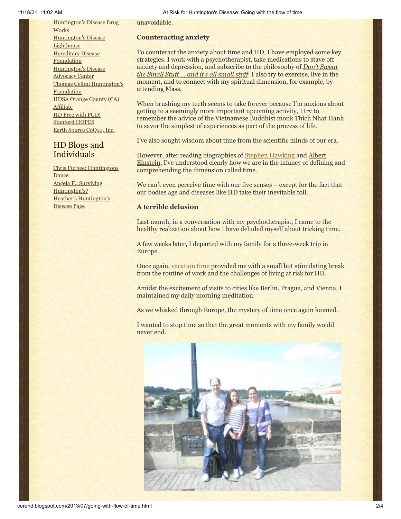[Huntington's](http://hddrugworks.org/) Disease Drug **Works** [Huntington's](http://www.hdlighthouse.org/) Disease **Lighthouse Hereditary Disease [Foundation](http://www.hdfoundation.org/)** [Huntington's](http://www.hdac.org/) Disease Advocacy Center Thomas [Cellini Huntington's](http://www.ourtchfoundation.org/) Foundation HDSA Orange County (CA) [Affiliate](http://www.hdsaoc.org/) HD Free with [PGD!](http://www.hdfreewithpgd.com/) [Stanford](http://www.stanford.edu/group/hopes/) HOPES Earth Source [CoQ10,](http://www.escoq10.com/) Inc.

# HD Blogs and Individuals

Chris Furbee: [Huntingtons](http://www.huntingtonsdance.org/) **Dance** Angela F.: Surviving [Huntington's?](http://survivinghuntingtons.blogspot.com/) Heather's [Huntington's](http://heatherdugdale.angelfire.com/) Disease Page

unavoidable.

### **Counteracting anxiety**

To counteract the anxiety about time and HD, I have employed some key strategies. I work with a psychotherapist, take medications to stave off anxiety [and depression, and subscribe to the philosophy of](http://dontsweat.com/) *Don't Sweat the Small Stuff … and it's all small stuff*. I also try to exercise, live in the moment, and to connect with my spiritual dimension, for example, by attending Mass.

When brushing my teeth seems to take forever because I'm anxious about getting to a seemingly more important upcoming activity, I try to remember the advice of the Vietnamese Buddhist monk Thich Nhat Hanh to savor the simplest of experiences as part of the process of life.

I've also sought wisdom about time from the scientific minds of our era.

However, after reading biographies of [Stephen Hawking](http://curehd.blogspot.com/2012/04/from-paralyzed-genius-lessons-of.html) and Albert Einstein, [I've understood clearly how we are in the infancy of definin](http://www.amazon.com/Einstein-A-Life-Denis-Brian/dp/0471193623)g and comprehending the dimension called time.

We can't even perceive time with our five senses – except for the fact that our bodies age and diseases like HD take their inevitable toll.

# **A terrible delusion**

Last month, in a conversation with my psychotherapist, I came to the healthy realization about how I have deluded myself about tricking time.

A few weeks later, I departed with my family for a three-week trip in Europe.

Once again, [vacation time](http://curehd.blogspot.com/2010/08/traveling-across-america-togetherness.html) provided me with a small but stimulating break from the routine of work and the challenges of living at risk for HD.

Amidst the excitement of visits to cities like Berlin, Prague, and Vienna, I maintained my daily morning meditation.

As we whisked through Europe, the mystery of time once again loomed.

I wanted to stop time so that the great moments with my family would never end.

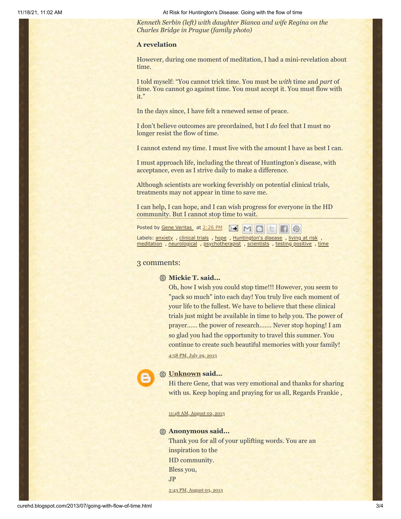11/18/21, 11:02 AM At Risk for Huntington's Disease: Going with the flow of time

*Kenneth Serbin (left) with daughter Bianca and wife Regina on the Charles Bridge in Prague (family photo)*

### **A revelation**

However, during one moment of meditation, I had a mini-revelation about time.

I told myself: "You cannot trick time. You must be *with* time and *part* of time. You cannot go against time. You must accept it. You must flow with it."

In the days since, I have felt a renewed sense of peace.

I don't believe outcomes are preordained, but I *do* feel that I must no longer resist the flow of time.

I cannot extend my time. I must live with the amount I have as best I can.

I must approach life, including the threat of Huntington's disease, with acceptance, even as I strive daily to make a difference.

Although scientists are working feverishly on potential clinical trials, treatments may not appear in time to save me.

I can help, I can hope, and I can wish progress for everyone in the HD community. But I cannot stop time to wait.

| Posted by <u>Gene Veritas</u> at 2:26 PM <b>A M B E</b> |  |  |  |  |  |
|---------------------------------------------------------|--|--|--|--|--|
|---------------------------------------------------------|--|--|--|--|--|

Labels: <u>[anxiety](http://curehd.blogspot.com/search/label/anxiety)</u>, [clinical](http://curehd.blogspot.com/search/label/clinical%20trials) trials, [hope](http://curehd.blogspot.com/search/label/hope), [Huntington's](http://curehd.blogspot.com/search/label/Huntington%27s%20disease) disease, [living](http://curehd.blogspot.com/search/label/living%20at%20risk) at risk [meditation](http://curehd.blogspot.com/search/label/meditation) , [neurological](http://curehd.blogspot.com/search/label/neurological) , [psychotherapist](http://curehd.blogspot.com/search/label/psychotherapist) , [scientists](http://curehd.blogspot.com/search/label/scientists) , testing [positive](http://curehd.blogspot.com/search/label/testing%20positive) , [time](http://curehd.blogspot.com/search/label/time)

#### 3 comments:

### **Mickie T. said...**

Oh, how I wish you could stop time!!! However, you seem to "pack so much" into each day! You truly live each moment of your life to the fullest. We have to believe that these clinical trials just might be available in time to help you. The power of prayer…… the power of research……. Never stop hoping! I am so glad you had the opportunity to travel this summer. You continue to create such beautiful memories with your family! 4:58 PM, July 29, [2013](http://curehd.blogspot.com/2013/07/going-with-flow-of-time.html?showComment=1375142315330#c7006813193906965518)



### **[Unknown](https://www.blogger.com/profile/03025319713507890301) said...**

Hi there Gene, that was very emotional and thanks for sharing with us. Keep hoping and praying for us all, Regards Frankie ,

11:48 AM, [August](http://curehd.blogspot.com/2013/07/going-with-flow-of-time.html?showComment=1375469292545#c2849390764230878105) 02, 2013

### **Anonymous said...**

2:43 PM, [August](http://curehd.blogspot.com/2013/07/going-with-flow-of-time.html?showComment=1375566215635#c6096526508177686051) 03, 2013

Thank you for all of your uplifting words. You are an inspiration to the HD community. Bless you, JP